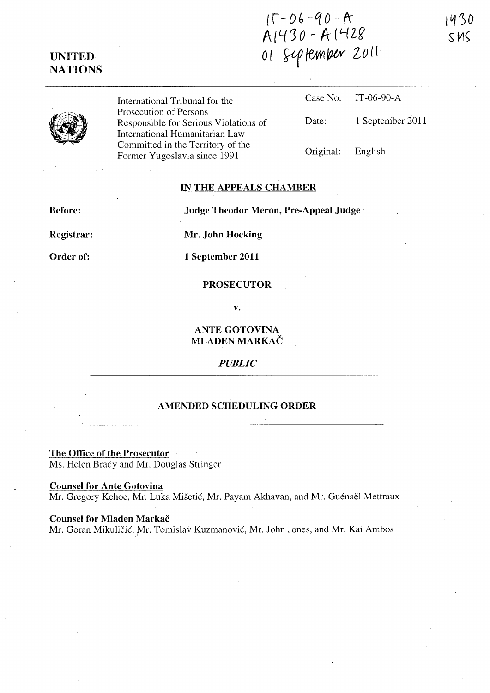$IT-06-90 - A$  $A1430 - A1428$ 01 September 2011

| UNITED.        |
|----------------|
| <b>NATIONS</b> |

International Tribunal for the Prosecution of Persons Responsible for Serious Violations International Humanitarian Law Committed in the Territory of the Former Yugoslavia since 1991

|      |                   | Case No. IT-06-90-A |
|------|-------------------|---------------------|
| s of | Date:             | 1 September 2011    |
|      | Original: English |                     |

## **IN THE APPEALS CHAMBER**

**Before:** 

**Judge Theodor Meron, Pre-Appeal Judge'** 

**Registrar:** 

**Mr. John Hocking** 

**Order of:** 

**1 September 2011** 

## **PROSECUTOR**

**v.** 

**ANTE GOTOVINA MLADEN MARKAC** 

## *PUBLIC*

## **AMENDED SCHEDULING ORDER**

**The Office of the Prosecutor** . Ms. Helen Brady and Mr. Douglas Stringer

**Counsel for Ante Gotovina**  Mr. Gregory Kehoe, Mr. Luka Mišetić, Mr. Payam Akhavan, and Mr. Guénaël Mettraux

**Counsel for Mladen Markac** 

Mr. Goran Mikuličić, Mr. Tomislav Kuzmanović, Mr. John Jones, and Mr. Kai Ambos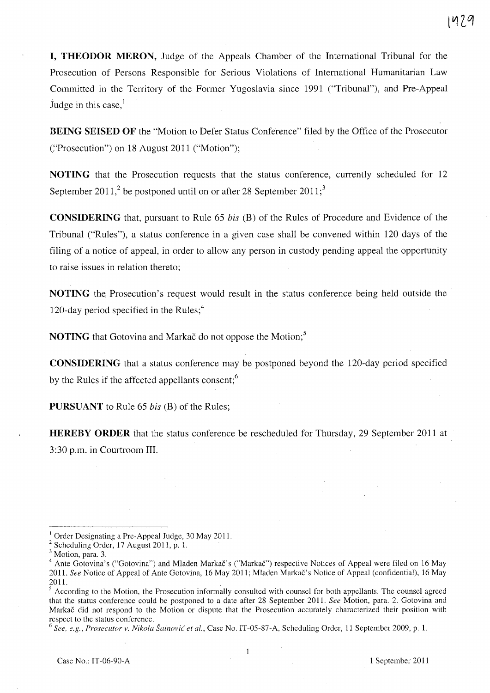**I, THEODOR MERON,** Judge of the Appeals Chamber of the International Tribunal for the Prosecution of Persons Responsible for Serious Violations of International Humanitarian Law Committed in the Territory of the Former Yugoslavia since 1991 ("Tribunal"), and Pre-Appeal Judge in this case.<sup>1</sup>

**BEING SEISED OF** the "Motion to Defer Status Conference" filed by the Office of the Prosecutor C'Prosecution") on 18 August 2011 ("Motion");

**NOTING** that the Prosecution requests that the status conference, currently scheduled for 12 September 2011,<sup>2</sup> be postponed until on or after 28 September 2011;<sup>3</sup>

**CONSIDERING** that, pursuant to Rule 65 *his* (B) of the Rules of Procedure and Evidence of the Tribunal ("Rules"), a status conference in a given case shall be convened within 120 days of the filing of a notice of appeal, in order to allow any person in custody pending appeal the opportunity to raise issues in relation thereto;

**NOTING** the. Prosecution's request would result in the status conference being held outside the 120-day period specified in the Rules; $<sup>4</sup>$ </sup>

**NOTING** that Gotovina and Markac do not oppose the Motion;<sup>5</sup>

**CONSIDERING** that a status conference may be postponed beyond the l20-day period specified by the Rules if the affected appellants consent;<sup>6</sup>

**PURSUANT** to Rule 65 *his* (B) of the Rules;

**HEREBY ORDER** that the status conference be rescheduled for Thursday, 29 September 2011 at 3:30 p.m. in Courtroom Ill.

<sup>6</sup> See, e.g., Prosecutor v. Nikola Šainović et al., Case No. IT-05-87-A, Scheduling Order, 11 September 2009, p. 1.

<sup>&</sup>lt;sup>1</sup> Order Designating a Pre-Appeal Judge, 30 May 2011.

 $2$  Scheduling Order, 17 August 2011, p. 1.

<sup>&</sup>lt;sup>3</sup> Motion, para. 3.

<sup>&</sup>lt;sup>4</sup> Ante Gotovina's ("Gotovina") and Mladen Markač's ("Markač") respective Notices of Appeal were filed on 16 May 201l. *See* Notice of Appeal of Ante Gotovina, 16 May 2011; Mladen Markac's Notice of Appeal (confidential), 16 May 201l.

According to the Motion, the Prosecution informally consulted with counsel for both appellants. The counsel agreed that the status conference could be postponed to a date after 28 September 201l. *See* Motion, para. 2. Gotovina and Markac did not respond to the Motion or dispute that the Prosecution accurately characterized their position with respect to the status conference.